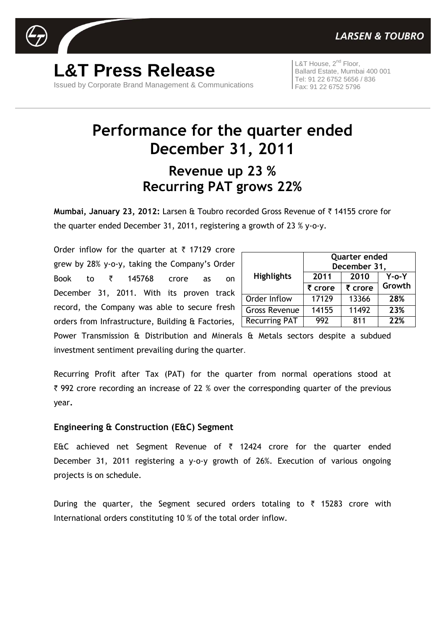

**L&T Press Release** Issued by Corporate Brand Management & Communications

L&T House, 2<sup>nd</sup> Floor, Ballard Estate, Mumbai 400 001 Tel: 91 22 6752 5656 / 836 Fax: 91 22 6752 5796

# **Performance for the quarter ended December 31, 2011 Revenue up 23 % Recurring PAT grows 22%**

**Mumbai, January 23, 2012:** Larsen & Toubro recorded Gross Revenue of ₹14155 crore for the quarter ended December 31, 2011, registering a growth of 23 % y-o-y.

Order inflow for the quarter at  $\bar{\tau}$  17129 crore grew by 28% y-o-y, taking the Company's Order Book to  $\bar{z}$  145768 crore as on December 31, 2011. With its proven track record, the Company was able to secure fresh orders from Infrastructure, Building & Factories,

|                      | <b>Quarter ended</b><br>December 31, |         |             |  |  |
|----------------------|--------------------------------------|---------|-------------|--|--|
| <b>Highlights</b>    | 2011                                 | 2010    | $Y$ -o- $Y$ |  |  |
|                      | ₹ crore                              | ₹ crore | Growth      |  |  |
| Order Inflow         | 17129                                | 13366   | 28%         |  |  |
| <b>Gross Revenue</b> | 14155                                | 11492   | 23%         |  |  |
| <b>Recurring PAT</b> | 992                                  | 811     | 22%         |  |  |

Power Transmission & Distribution and Minerals & Metals sectors despite a subdued investment sentiment prevailing during the quarter.

Recurring Profit after Tax (PAT) for the quarter from normal operations stood at ₹ 992 crore recording an increase of 22 % over the corresponding quarter of the previous year**.**

## **Engineering & Construction (E&C) Segment**

E&C achieved net Segment Revenue of  $\bar{\tau}$  12424 crore for the quarter ended December 31, 2011 registering a y-o-y growth of 26%. Execution of various ongoing projects is on schedule.

During the quarter, the Segment secured orders totaling to  $\bar{\tau}$  15283 crore with International orders constituting 10 % of the total order inflow.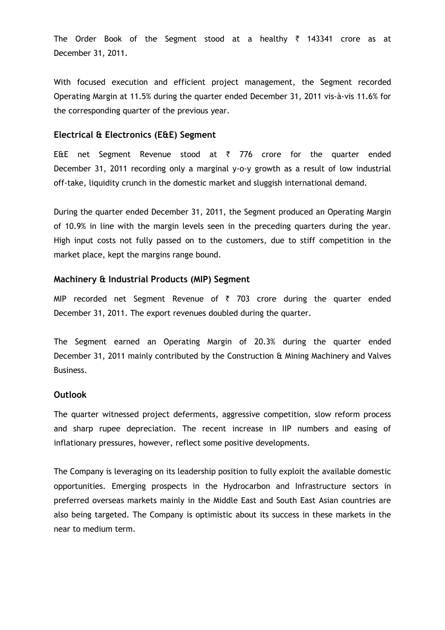The Order Book of the Segment stood at a healthy  $\bar{\tau}$  143341 crore as at December 31, 2011.

With focused execution and efficient project management, the Segment recorded Operating Margin at 11.5% during the quarter ended December 31, 2011 vis-à-vis 11.6% for the corresponding quarter of the previous year.

### **Electrical & Electronics (E&E) Segment**

E&E net Segment Revenue stood at  $\bar{\tau}$  776 crore for the quarter ended December 31, 2011 recording only a marginal y-o-y growth as a result of low industrial off-take, liquidity crunch in the domestic market and sluggish international demand.

During the quarter ended December 31, 2011, the Segment produced an Operating Margin of 10.9% in line with the margin levels seen in the preceding quarters during the year. High input costs not fully passed on to the customers, due to stiff competition in the market place, kept the margins range bound.

## **Machinery & Industrial Products (MIP) Segment**

MIP recorded net Segment Revenue of  $\bar{\tau}$  703 crore during the quarter ended December 31, 2011. The export revenues doubled during the quarter.

The Segment earned an Operating Margin of 20.3% during the quarter ended December 31, 2011 mainly contributed by the Construction & Mining Machinery and Valves Business.

#### **Outlook**

The quarter witnessed project deferments, aggressive competition, slow reform process and sharp rupee depreciation. The recent increase in IIP numbers and easing of inflationary pressures, however, reflect some positive developments.

The Company is leveraging on its leadership position to fully exploit the available domestic opportunities. Emerging prospects in the Hydrocarbon and Infrastructure sectors in preferred overseas markets mainly in the Middle East and South East Asian countries are also being targeted. The Company is optimistic about its success in these markets in the near to medium term.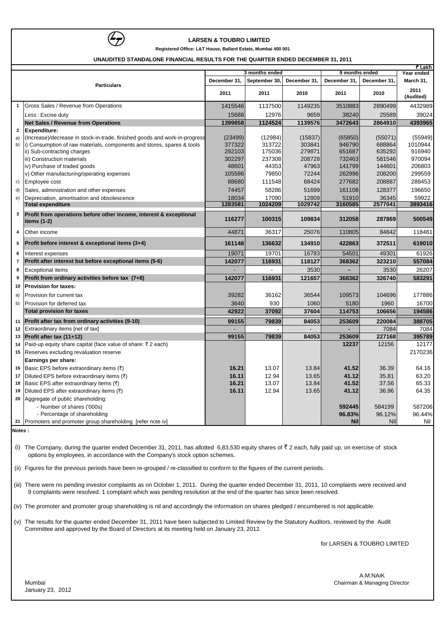|                         | $4\pi$                                                                         | <b>LARSEN &amp; TOUBRO LIMITED</b> |               |              |                |              |                   |
|-------------------------|--------------------------------------------------------------------------------|------------------------------------|---------------|--------------|----------------|--------------|-------------------|
|                         | Registered Office: L&T House, Ballard Estate, Mumbai 400 001                   |                                    |               |              |                |              |                   |
|                         | UNAUDITED STANDALONE FINANCIAL RESULTS FOR THE QUARTER ENDED DECEMBER 31, 2011 |                                    |               |              |                |              |                   |
|                         |                                                                                |                                    |               |              |                |              | ₹ Lakh            |
|                         | 3 months ended                                                                 |                                    |               |              | 9 months ended |              | Year ended        |
|                         | <b>Particulars</b>                                                             | December 31,                       | September 30, | December 31, | December 31.   | December 31, | March 31,         |
|                         |                                                                                |                                    | 2011          | 2010         | 2011           | 2010         | 2011<br>(Audited) |
| $\overline{1}$          | Gross Sales / Revenue from Operations                                          | 1415546                            | 1137500       | 1149235      | 3510883        | 2890499      | 4432989           |
|                         | Less: Excise duty                                                              | 15688                              | 12976         | 9659         | 38240          | 25589        | 39024             |
|                         | <b>Net Sales / Revenue from Operations</b>                                     | 1399858                            | 1124524       | 1139576      | 3472643        | 2864910      | 4393965           |
| $\overline{2}$          | <b>Expenditure:</b>                                                            |                                    |               |              |                |              |                   |
| a)                      | (Increase)/decrease in stock-in-trade, finished goods and work-in-progress     | (23499)                            | (12984)       | (15837)      | (65850)        | (55071)      | (55949)           |
| b)                      | i) Consumption of raw materials, components and stores, spares & tools         | 377322                             | 313722        | 303841       | 946790         | 688864       | 1010944           |
|                         | ii) Sub-contracting charges                                                    | 292103                             | 175036        | 279871       | 651687         | 635292       | 916940            |
|                         | iii) Construction materials                                                    | 302297                             | 237308        | 208728       | 732463         | 581546       | 970094            |
|                         | iv) Purchase of traded goods                                                   | 48601                              | 44353         | 47963        | 141799         | 144601       | 206803            |
|                         | v) Other manufacturing/operating expenses                                      | 105586                             | 79850         | 72244        | 262996         | 208200       | 299559            |
| c)                      | Employee cost                                                                  | 88680                              | 111548        | 68424        | 277682         | 208887       | 288453            |
| d)                      | Sales, administration and other expenses                                       | 74457                              | 58286         | 51699        | 161108         | 128377       | 196650            |
| e)                      | Depreciation, amortisation and obsolescence                                    | 18034                              | 17090         | 12809        | 51910          | 36345        | 59922             |
|                         | <b>Total expenditure</b>                                                       | 1283581                            | 1024209       | 1029742      | 3160585        | 2577041      | 3893416           |
| 3                       | Profit from operations before other income, interest & exceptional             | 116277                             | 100315        | 109834       | 312058         | 287869       | 500549            |
|                         | items $(1-2)$                                                                  |                                    |               |              |                |              |                   |
| 4                       | Other income                                                                   | 44871                              | 36317         | 25076        | 110805         | 84642        | 118461            |
| 5                       | Profit before interest & exceptional items (3+4)                               | 161148                             | 136632        | 134910       | 422863         | 372511       | 619010            |
| 6                       | Interest expenses                                                              | 19071                              | 19701         | 16783        | 54501          | 49301        | 61926             |
| $\overline{\mathbf{r}}$ | Profit after interest but before exceptional items (5-6)                       | 142077                             | 116931        | 118127       | 368362         | 323210       | 557084            |
| 8                       | <b>Exceptional items</b>                                                       |                                    |               | 3530         |                | 3530         | 26207             |
| 9                       | Profit from ordinary activities before tax (7+8)                               | 142077                             | 116931        | 121657       | 368362         | 326740       | 583291            |
| 10                      | <b>Provision for taxes:</b>                                                    |                                    |               |              |                |              |                   |
| a)                      | Provision for current tax                                                      | 39282                              | 36162         | 36544        | 109573         | 104696       | 177886            |
| b)                      | Provision for deferred tax                                                     | 3640                               | 930           | 1060         | 5180           | 1960         | 16700             |
|                         | <b>Total provision for taxes</b>                                               | 42922                              | 37092         | 37604        | 114753         | 106656       | 194586            |
| 11                      | Profit after tax from ordinary activities (9-10)                               | 99155                              | 79839         | 84053        | 253609         | 220084       | 388705            |
| 12                      | Extraordinary items [net of tax]                                               |                                    |               |              |                | 7084         | 7084              |
| 13                      | Profit after tax (11+12)                                                       | 99155                              | 79839         | 84053        | 253609         | 227168       | 395789            |
|                         | Paid-up equity share capital (face value of share: ₹2 each)                    |                                    |               |              | 12237          | 12156        | 12177             |
| 15                      | Reserves excluding revaluation reserve                                         |                                    |               |              |                |              | 2170236           |
|                         |                                                                                |                                    |               |              |                |              |                   |
|                         | Earnings per share:                                                            |                                    |               |              |                |              |                   |
| 16                      | Basic EPS before extraordinary items (₹)                                       | 16.21                              | 13.07         | 13.84        | 41.52          | 36.39        | 64.16             |
| 17                      | Diluted EPS before extraordinary items (₹)                                     | 16.11                              | 12.94         | 13.65        | 41.12          | 35.81        | 63.20             |
| 18                      | Basic EPS after extraordinary items (₹)                                        | 16.21                              | 13.07         | 13.84        | 41.52          | 37.56        | 65.33             |
| 19                      | Diluted EPS after extraordinary items (₹)                                      | 16.11                              | 12.94         | 13.65        | 41.12          | 36.96        | 64.35             |
| 20                      | Aggregate of public shareholding:                                              |                                    |               |              |                |              |                   |
|                         | - Number of shares ('000s)                                                     |                                    |               |              | 592445         | 584199       | 587206            |
|                         | - Percentage of shareholding                                                   |                                    |               |              | 96.83%         | 96.12%       | 96.44%            |
|                         | 21 Promoters and promoter group shareholding [refer note iv]                   |                                    |               |              | <b>Nil</b>     | Nil          | Nil               |

**Notes :**

(i) The Company, during the quarter ended December 31, 2011, has allotted 6,83,530 equity shares of  $\bar{\xi}$  2 each, fully paid up, on exercise of stock options by employees, in accordance with the Company's stock option schemes.

(ii) Figures for the previous periods have been re-grouped / re-classified to conform to the figures of the current periods.

(iii) There were no pending investor complaints as on October 1, 2011. During the quarter ended December 31, 2011, 10 complaints were received and 9 complaints were resolved. 1 complaint which was pending resolution at the end of the quarter has since been resolved.

(iv) The promoter and promoter group shareholding is nil and accordingly the information on shares pledged / encumbered is not applicable.

(v) The results for the quarter ended December 31, 2011 have been subjected to Limited Review by the Statutory Auditors, reviewed by the Audit Committee and approved by the Board of Directors at its meeting held on January 23, 2012.

for LARSEN & TOUBRO LIMITED